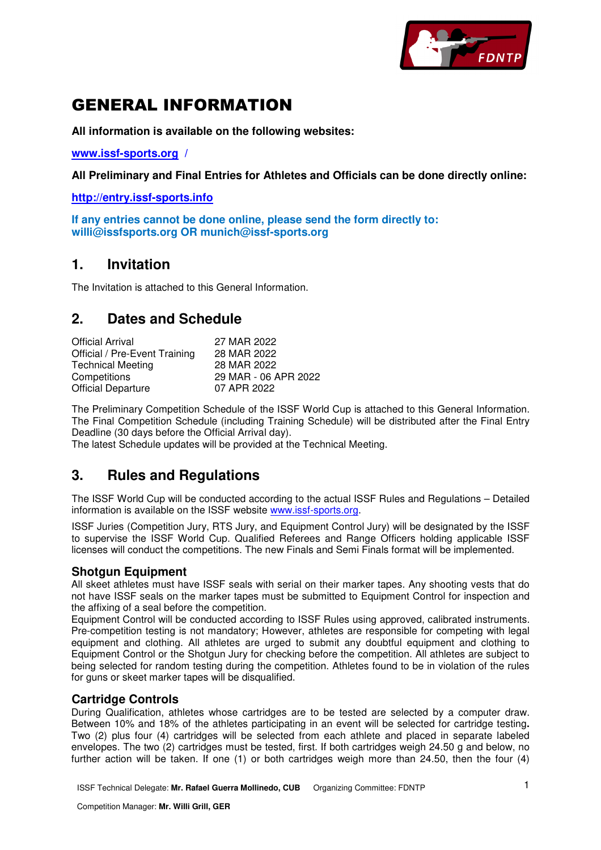

# GENERAL INFORMATION

**All information is available on the following websites:** 

**www.issf-sports.org /** 

**All Preliminary and Final Entries for Athletes and Officials can be done directly online:** 

**http://entry.issf-sports.info**

**If any entries cannot be done online, please send the form directly to: willi@issfsports.org OR munich@issf-sports.org** 

### **1. Invitation**

The Invitation is attached to this General Information.

## **2. Dates and Schedule**

| <b>Official Arrival</b>       | 27 MAR 2022          |
|-------------------------------|----------------------|
| Official / Pre-Event Training | 28 MAR 2022          |
| <b>Technical Meeting</b>      | 28 MAR 2022          |
| Competitions                  | 29 MAR - 06 APR 2022 |
| <b>Official Departure</b>     | 07 APR 2022          |

The Preliminary Competition Schedule of the ISSF World Cup is attached to this General Information. The Final Competition Schedule (including Training Schedule) will be distributed after the Final Entry Deadline (30 days before the Official Arrival day).

The latest Schedule updates will be provided at the Technical Meeting.

## **3. Rules and Regulations**

The ISSF World Cup will be conducted according to the actual ISSF Rules and Regulations – Detailed information is available on the ISSF website www.issf-sports.org.

ISSF Juries (Competition Jury, RTS Jury, and Equipment Control Jury) will be designated by the ISSF to supervise the ISSF World Cup. Qualified Referees and Range Officers holding applicable ISSF licenses will conduct the competitions. The new Finals and Semi Finals format will be implemented.

### **Shotgun Equipment**

All skeet athletes must have ISSF seals with serial on their marker tapes. Any shooting vests that do not have ISSF seals on the marker tapes must be submitted to Equipment Control for inspection and the affixing of a seal before the competition.

Equipment Control will be conducted according to ISSF Rules using approved, calibrated instruments. Pre-competition testing is not mandatory; However, athletes are responsible for competing with legal equipment and clothing. All athletes are urged to submit any doubtful equipment and clothing to Equipment Control or the Shotgun Jury for checking before the competition. All athletes are subject to being selected for random testing during the competition. Athletes found to be in violation of the rules for guns or skeet marker tapes will be disqualified.

### **Cartridge Controls**

During Qualification, athletes whose cartridges are to be tested are selected by a computer draw. Between 10% and 18% of the athletes participating in an event will be selected for cartridge testing**.**  Two (2) plus four (4) cartridges will be selected from each athlete and placed in separate labeled envelopes. The two (2) cartridges must be tested, first. If both cartridges weigh 24.50 g and below, no further action will be taken. If one (1) or both cartridges weigh more than 24.50, then the four (4)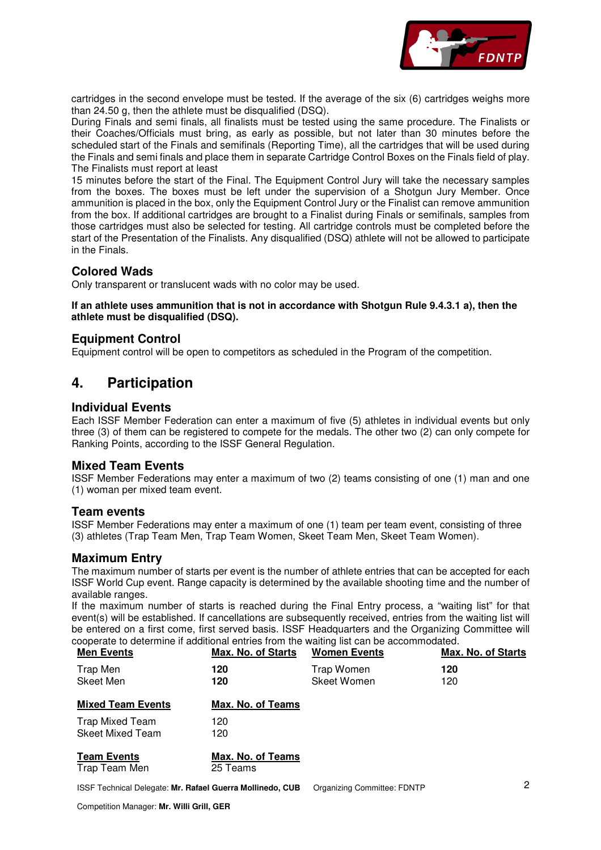

cartridges in the second envelope must be tested. If the average of the six (6) cartridges weighs more than 24.50 g, then the athlete must be disqualified (DSQ).

During Finals and semi finals, all finalists must be tested using the same procedure. The Finalists or their Coaches/Officials must bring, as early as possible, but not later than 30 minutes before the scheduled start of the Finals and semifinals (Reporting Time), all the cartridges that will be used during the Finals and semi finals and place them in separate Cartridge Control Boxes on the Finals field of play. The Finalists must report at least

15 minutes before the start of the Final. The Equipment Control Jury will take the necessary samples from the boxes. The boxes must be left under the supervision of a Shotgun Jury Member. Once ammunition is placed in the box, only the Equipment Control Jury or the Finalist can remove ammunition from the box. If additional cartridges are brought to a Finalist during Finals or semifinals, samples from those cartridges must also be selected for testing. All cartridge controls must be completed before the start of the Presentation of the Finalists. Any disqualified (DSQ) athlete will not be allowed to participate in the Finals.

### **Colored Wads**

Only transparent or translucent wads with no color may be used.

#### **If an athlete uses ammunition that is not in accordance with Shotgun Rule 9.4.3.1 a), then the athlete must be disqualified (DSQ).**

### **Equipment Control**

Equipment control will be open to competitors as scheduled in the Program of the competition.

## **4. Participation**

### **Individual Events**

Each ISSF Member Federation can enter a maximum of five (5) athletes in individual events but only three (3) of them can be registered to compete for the medals. The other two (2) can only compete for Ranking Points, according to the ISSF General Regulation.

### **Mixed Team Events**

ISSF Member Federations may enter a maximum of two (2) teams consisting of one (1) man and one (1) woman per mixed team event.

#### **Team events**

ISSF Member Federations may enter a maximum of one (1) team per team event, consisting of three (3) athletes (Trap Team Men, Trap Team Women, Skeet Team Men, Skeet Team Women).

### **Maximum Entry**

The maximum number of starts per event is the number of athlete entries that can be accepted for each ISSF World Cup event. Range capacity is determined by the available shooting time and the number of available ranges.

If the maximum number of starts is reached during the Final Entry process, a "waiting list" for that event(s) will be established. If cancellations are subsequently received, entries from the waiting list will be entered on a first come, first served basis. ISSF Headquarters and the Organizing Committee will cooperate to determine if additional entries from the waiting list can be accommodated.

| <b>Men Events</b>                          | <b>Max. No. of Starts</b>     | <b>Women Events</b>              | <b>Max. No. of Starts</b> |  |  |  |
|--------------------------------------------|-------------------------------|----------------------------------|---------------------------|--|--|--|
| Trap Men<br>Skeet Men                      | 120<br>120                    | Trap Women<br><b>Skeet Women</b> | 120<br>120                |  |  |  |
| <b>Mixed Team Events</b>                   | Max. No. of Teams             |                                  |                           |  |  |  |
| Trap Mixed Team<br><b>Skeet Mixed Team</b> | 120<br>120                    |                                  |                           |  |  |  |
| <b>Team Events</b><br>Trap Team Men        | Max. No. of Teams<br>25 Teams |                                  |                           |  |  |  |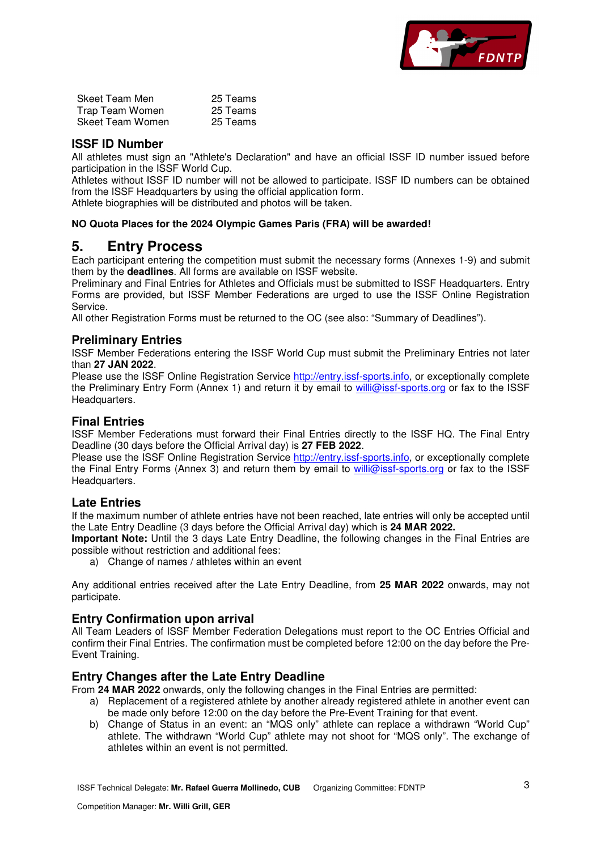

| <b>Skeet Team Men</b> | 25 Teams |
|-----------------------|----------|
| Trap Team Women       | 25 Teams |
| Skeet Team Women      | 25 Teams |

### **ISSF ID Number**

All athletes must sign an "Athlete's Declaration" and have an official ISSF ID number issued before participation in the ISSF World Cup.

Athletes without ISSF ID number will not be allowed to participate. ISSF ID numbers can be obtained from the ISSF Headquarters by using the official application form.

Athlete biographies will be distributed and photos will be taken.

#### **NO Quota Places for the 2024 Olympic Games Paris (FRA) will be awarded!**

### **5. Entry Process**

Each participant entering the competition must submit the necessary forms (Annexes 1-9) and submit them by the **deadlines**. All forms are available on ISSF website.

Preliminary and Final Entries for Athletes and Officials must be submitted to ISSF Headquarters. Entry Forms are provided, but ISSF Member Federations are urged to use the ISSF Online Registration Service.

All other Registration Forms must be returned to the OC (see also: "Summary of Deadlines").

### **Preliminary Entries**

ISSF Member Federations entering the ISSF World Cup must submit the Preliminary Entries not later than **27 JAN 2022**.

Please use the ISSF Online Registration Service http://entry.issf-sports.info, or exceptionally complete the Preliminary Entry Form (Annex 1) and return it by email to willi@issf-sports.org or fax to the ISSF Headquarters.

### **Final Entries**

ISSF Member Federations must forward their Final Entries directly to the ISSF HQ. The Final Entry Deadline (30 days before the Official Arrival day) is **27 FEB 2022**.

Please use the ISSF Online Registration Service http://entry.issf-sports.info, or exceptionally complete the Final Entry Forms (Annex 3) and return them by email to willi@issf-sports.org or fax to the ISSF Headquarters.

### **Late Entries**

If the maximum number of athlete entries have not been reached, late entries will only be accepted until the Late Entry Deadline (3 days before the Official Arrival day) which is **24 MAR 2022.** 

**Important Note:** Until the 3 days Late Entry Deadline, the following changes in the Final Entries are possible without restriction and additional fees:

a) Change of names / athletes within an event

Any additional entries received after the Late Entry Deadline, from **25 MAR 2022** onwards, may not participate.

### **Entry Confirmation upon arrival**

All Team Leaders of ISSF Member Federation Delegations must report to the OC Entries Official and confirm their Final Entries. The confirmation must be completed before 12:00 on the day before the Pre-Event Training.

### **Entry Changes after the Late Entry Deadline**

From **24 MAR 2022** onwards, only the following changes in the Final Entries are permitted:

- a) Replacement of a registered athlete by another already registered athlete in another event can be made only before 12:00 on the day before the Pre-Event Training for that event.
- b) Change of Status in an event: an "MQS only" athlete can replace a withdrawn "World Cup" athlete. The withdrawn "World Cup" athlete may not shoot for "MQS only". The exchange of athletes within an event is not permitted.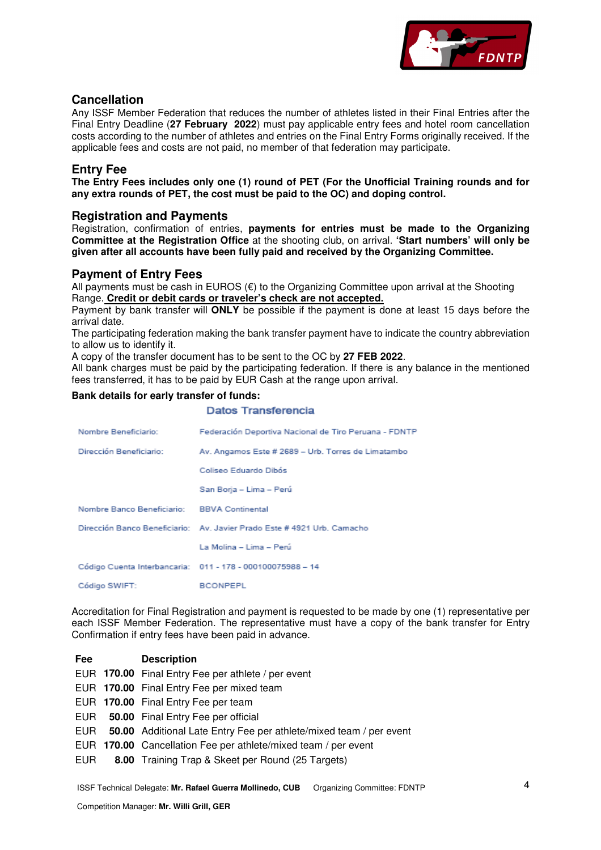

### **Cancellation**

Any ISSF Member Federation that reduces the number of athletes listed in their Final Entries after the Final Entry Deadline (**27 February 2022**) must pay applicable entry fees and hotel room cancellation costs according to the number of athletes and entries on the Final Entry Forms originally received. If the applicable fees and costs are not paid, no member of that federation may participate.

### **Entry Fee**

**The Entry Fees includes only one (1) round of PET (For the Unofficial Training rounds and for any extra rounds of PET, the cost must be paid to the OC) and doping control.** 

### **Registration and Payments**

Registration, confirmation of entries, **payments for entries must be made to the Organizing Committee at the Registration Office** at the shooting club, on arrival. **'Start numbers' will only be given after all accounts have been fully paid and received by the Organizing Committee.** 

### **Payment of Entry Fees**

All payments must be cash in EUROS  $(\epsilon)$  to the Organizing Committee upon arrival at the Shooting Range. **Credit or debit cards or traveler's check are not accepted.**

Payment by bank transfer will **ONLY** be possible if the payment is done at least 15 days before the arrival date.

The participating federation making the bank transfer payment have to indicate the country abbreviation to allow us to identify it.

A copy of the transfer document has to be sent to the OC by **27 FEB 2022**.

All bank charges must be paid by the participating federation. If there is any balance in the mentioned fees transferred, it has to be paid by EUR Cash at the range upon arrival.

#### **Bank details for early transfer of funds:**

|                                             | Datos Transferencia                                                     |
|---------------------------------------------|-------------------------------------------------------------------------|
| Nombre Beneficiario:                        | Federación Deportiva Nacional de Tiro Peruana - FDNTP                   |
| Dirección Beneficiario:                     | Av. Angamos Este # 2689 - Urb. Torres de Limatambo                      |
|                                             | Coliseo Eduardo Dibós                                                   |
|                                             | San Borja - Lima - Perú                                                 |
| Nombre Banco Beneficiario: BBVA Continental |                                                                         |
|                                             | Dirección Banco Beneficiario: Av. Javier Prado Este # 4921 Urb. Camacho |
|                                             | La Molina – Lima – Perú                                                 |
|                                             | Código Cuenta Interbancaria: 011 - 178 - 000100075988 - 14              |
| Código SWIFT:                               | <b>BCONPEPL</b>                                                         |

Accreditation for Final Registration and payment is requested to be made by one (1) representative per each ISSF Member Federation. The representative must have a copy of the bank transfer for Entry Confirmation if entry fees have been paid in advance.

| Fee | <b>Description</b>                                                     |
|-----|------------------------------------------------------------------------|
|     | EUR 170.00 Final Entry Fee per athlete / per event                     |
|     | EUR 170.00 Final Entry Fee per mixed team                              |
|     | EUR 170.00 Final Entry Fee per team                                    |
|     | EUR 50.00 Final Entry Fee per official                                 |
|     | EUR 50.00 Additional Late Entry Fee per athlete/mixed team / per event |
|     | EUR 170.00 Cancellation Fee per athlete/mixed team / per event         |
| EUR | 8.00 Training Trap & Skeet per Round (25 Targets)                      |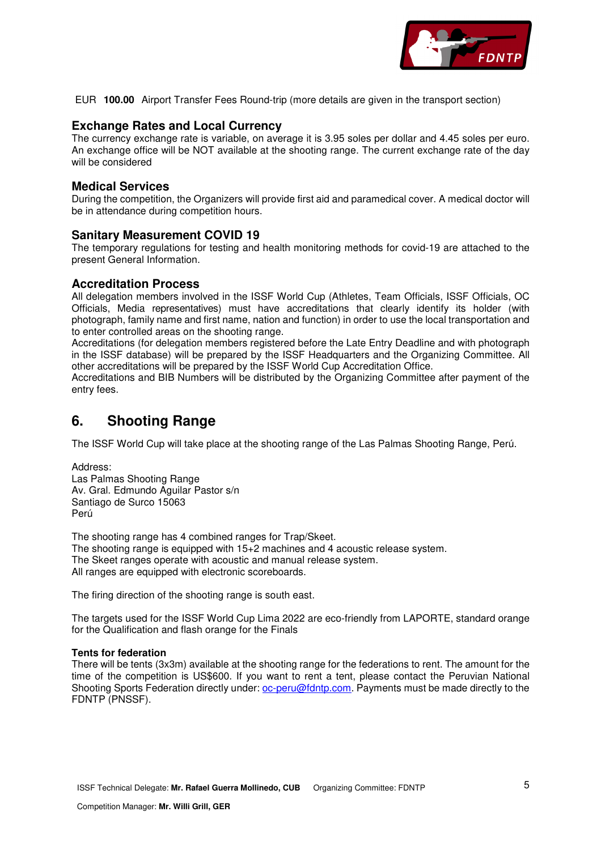

EUR **100.00** Airport Transfer Fees Round-trip (more details are given in the transport section)

### **Exchange Rates and Local Currency**

The currency exchange rate is variable, on average it is 3.95 soles per dollar and 4.45 soles per euro. An exchange office will be NOT available at the shooting range. The current exchange rate of the day will be considered

### **Medical Services**

During the competition, the Organizers will provide first aid and paramedical cover. A medical doctor will be in attendance during competition hours.

#### **Sanitary Measurement COVID 19**

The temporary regulations for testing and health monitoring methods for covid-19 are attached to the present General Information.

### **Accreditation Process**

All delegation members involved in the ISSF World Cup (Athletes, Team Officials, ISSF Officials, OC Officials, Media representatives) must have accreditations that clearly identify its holder (with photograph, family name and first name, nation and function) in order to use the local transportation and to enter controlled areas on the shooting range.

Accreditations (for delegation members registered before the Late Entry Deadline and with photograph in the ISSF database) will be prepared by the ISSF Headquarters and the Organizing Committee. All other accreditations will be prepared by the ISSF World Cup Accreditation Office.

Accreditations and BIB Numbers will be distributed by the Organizing Committee after payment of the entry fees.

## **6. Shooting Range**

The ISSF World Cup will take place at the shooting range of the Las Palmas Shooting Range, Perú.

Address: Las Palmas Shooting Range Av. Gral. Edmundo Aguilar Pastor s/n Santiago de Surco 15063 Perú

The shooting range has 4 combined ranges for Trap/Skeet. The shooting range is equipped with 15+2 machines and 4 acoustic release system. The Skeet ranges operate with acoustic and manual release system. All ranges are equipped with electronic scoreboards.

The firing direction of the shooting range is south east.

The targets used for the ISSF World Cup Lima 2022 are eco-friendly from LAPORTE, standard orange for the Qualification and flash orange for the Finals

#### **Tents for federation**

There will be tents (3x3m) available at the shooting range for the federations to rent. The amount for the time of the competition is US\$600. If you want to rent a tent, please contact the Peruvian National Shooting Sports Federation directly under: oc-peru@fdntp.com. Payments must be made directly to the FDNTP (PNSSF).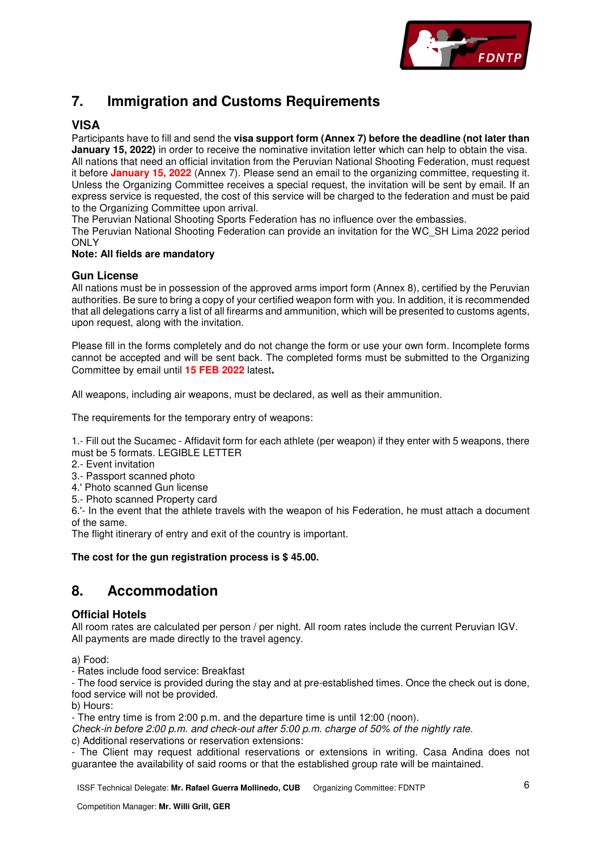

## **7. Immigration and Customs Requirements**

### **VISA**

Participants have to fill and send the **visa support form (Annex 7) before the deadline (not later than January 15, 2022)** in order to receive the nominative invitation letter which can help to obtain the visa. All nations that need an official invitation from the Peruvian National Shooting Federation, must request it before **January 15, 2022** (Annex 7). Please send an email to the organizing committee, requesting it. Unless the Organizing Committee receives a special request, the invitation will be sent by email. If an express service is requested, the cost of this service will be charged to the federation and must be paid to the Organizing Committee upon arrival.

The Peruvian National Shooting Sports Federation has no influence over the embassies.

The Peruvian National Shooting Federation can provide an invitation for the WC\_SH Lima 2022 period **ONLY** 

#### **Note: All fields are mandatory**

### **Gun License**

All nations must be in possession of the approved arms import form (Annex 8), certified by the Peruvian authorities. Be sure to bring a copy of your certified weapon form with you. In addition, it is recommended that all delegations carry a list of all firearms and ammunition, which will be presented to customs agents, upon request, along with the invitation.

Please fill in the forms completely and do not change the form or use your own form. Incomplete forms cannot be accepted and will be sent back. The completed forms must be submitted to the Organizing Committee by email until **15 FEB 2022** latest**.** 

All weapons, including air weapons, must be declared, as well as their ammunition.

The requirements for the temporary entry of weapons:

1.- Fill out the Sucamec - Affidavit form for each athlete (per weapon) if they enter with 5 weapons, there must be 5 formats. LEGIBLE LETTER

2.- Event invitation

- 3.- Passport scanned photo
- 4.' Photo scanned Gun license
- 5.- Photo scanned Property card

6.'- In the event that the athlete travels with the weapon of his Federation, he must attach a document of the same.

The flight itinerary of entry and exit of the country is important.

#### **The cost for the gun registration process is \$ 45.00.**

## **8. Accommodation**

### **Official Hotels**

All room rates are calculated per person / per night. All room rates include the current Peruvian IGV. All payments are made directly to the travel agency.

a) Food:

- Rates include food service: Breakfast

- The food service is provided during the stay and at pre-established times. Once the check out is done, food service will not be provided.

b) Hours:

- The entry time is from 2:00 p.m. and the departure time is until 12:00 (noon).

*Check-in before 2:00 p.m. and check-out after 5:00 p.m. charge of 50% of the nightly rate.*  c) Additional reservations or reservation extensions:

- The Client may request additional reservations or extensions in writing. Casa Andina does not guarantee the availability of said rooms or that the established group rate will be maintained.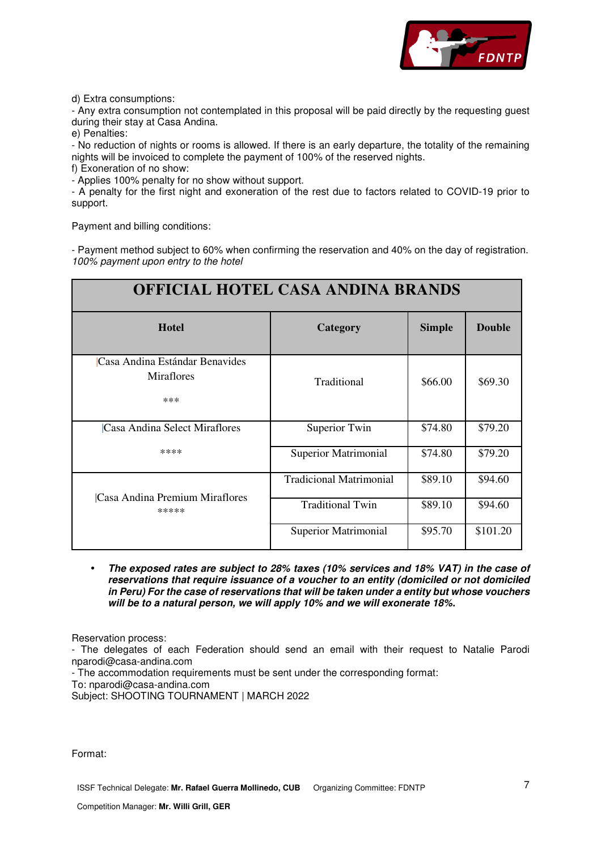

d) Extra consumptions:

- Any extra consumption not contemplated in this proposal will be paid directly by the requesting guest during their stay at Casa Andina.

e) Penalties:

- No reduction of nights or rooms is allowed. If there is an early departure, the totality of the remaining nights will be invoiced to complete the payment of 100% of the reserved nights.

f) Exoneration of no show:

- Applies 100% penalty for no show without support.

- A penalty for the first night and exoneration of the rest due to factors related to COVID-19 prior to support.

Payment and billing conditions:

- Payment method subject to 60% when confirming the reservation and 40% on the day of registration. *100% payment upon entry to the hotel* 

| <b>OFFICIAL HOTEL CASA ANDINA BRANDS</b>                   |                                     |         |          |  |  |  |  |  |  |  |
|------------------------------------------------------------|-------------------------------------|---------|----------|--|--|--|--|--|--|--|
| <b>Hotel</b><br><b>Double</b><br><b>Simple</b><br>Category |                                     |         |          |  |  |  |  |  |  |  |
| Casa Andina Estándar Benavides<br><b>Miraflores</b><br>*** | Traditional                         | \$66.00 | \$69.30  |  |  |  |  |  |  |  |
| Casa Andina Select Miraflores                              | Superior Twin<br>\$79.20<br>\$74.80 |         |          |  |  |  |  |  |  |  |
| ****                                                       | <b>Superior Matrimonial</b>         | \$74.80 | \$79.20  |  |  |  |  |  |  |  |
| Casa Andina Premium Miraflores                             | <b>Tradicional Matrimonial</b>      | \$89.10 | \$94.60  |  |  |  |  |  |  |  |
| *****                                                      | <b>Traditional Twin</b>             | \$89.10 | \$94.60  |  |  |  |  |  |  |  |
|                                                            | <b>Superior Matrimonial</b>         | \$95.70 | \$101.20 |  |  |  |  |  |  |  |

• **The exposed rates are subject to 28% taxes (10% services and 18% VAT) in the case of reservations that require issuance of a voucher to an entity (domiciled or not domiciled in Peru) For the case of reservations that will be taken under a entity but whose vouchers will be to a natural person, we will apply 10% and we will exonerate 18%.** 

Reservation process:

- The delegates of each Federation should send an email with their request to Natalie Parodi nparodi@casa-andina.com

- The accommodation requirements must be sent under the corresponding format:

To: nparodi@casa-andina.com

Subject: SHOOTING TOURNAMENT | MARCH 2022

Format: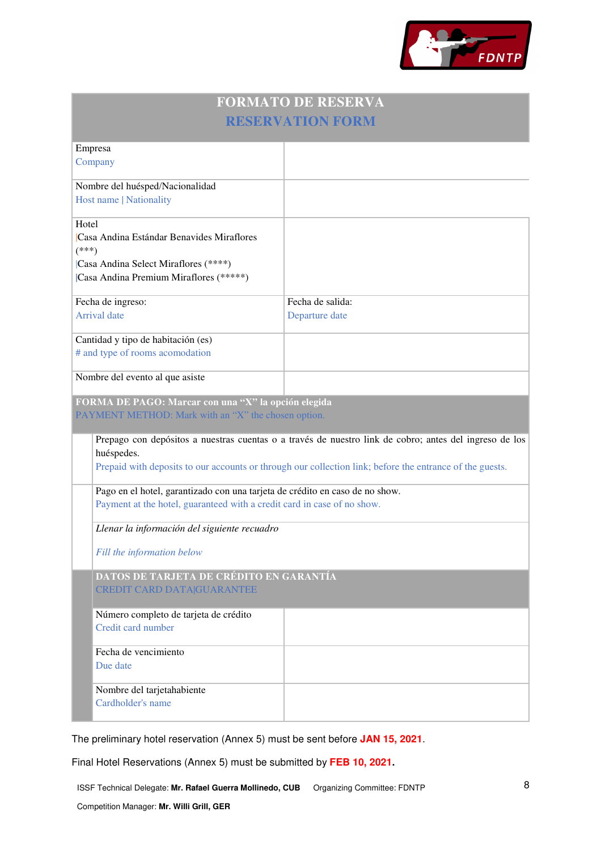

| <b>FORMATO DE RESERVA</b> |  |
|---------------------------|--|
| <b>RESERVATION FORM</b>   |  |

|         | Empresa                                                                      |                                                                                                          |
|---------|------------------------------------------------------------------------------|----------------------------------------------------------------------------------------------------------|
|         | Company                                                                      |                                                                                                          |
|         | Nombre del huésped/Nacionalidad                                              |                                                                                                          |
|         |                                                                              |                                                                                                          |
|         | Host name   Nationality                                                      |                                                                                                          |
| Hotel   |                                                                              |                                                                                                          |
|         | Casa Andina Estándar Benavides Miraflores                                    |                                                                                                          |
|         |                                                                              |                                                                                                          |
| $(***)$ |                                                                              |                                                                                                          |
|         | Casa Andina Select Miraflores (****)                                         |                                                                                                          |
|         | Casa Andina Premium Miraflores (*****)                                       |                                                                                                          |
|         |                                                                              |                                                                                                          |
|         | Fecha de ingreso:                                                            | Fecha de salida:                                                                                         |
|         | <b>Arrival</b> date                                                          | Departure date                                                                                           |
|         |                                                                              |                                                                                                          |
|         | Cantidad y tipo de habitación (es)                                           |                                                                                                          |
|         | # and type of rooms acomodation                                              |                                                                                                          |
|         |                                                                              |                                                                                                          |
|         | Nombre del evento al que asiste                                              |                                                                                                          |
|         | FORMA DE PAGO: Marcar con una "X" la opción elegida                          |                                                                                                          |
|         |                                                                              |                                                                                                          |
|         |                                                                              |                                                                                                          |
|         | PAYMENT METHOD: Mark with an "X" the chosen option.                          |                                                                                                          |
|         |                                                                              |                                                                                                          |
|         |                                                                              | Prepago con depósitos a nuestras cuentas o a través de nuestro link de cobro; antes del ingreso de los   |
|         | huéspedes.                                                                   |                                                                                                          |
|         |                                                                              | Prepaid with deposits to our accounts or through our collection link; before the entrance of the guests. |
|         |                                                                              |                                                                                                          |
|         | Pago en el hotel, garantizado con una tarjeta de crédito en caso de no show. |                                                                                                          |
|         | Payment at the hotel, guaranteed with a credit card in case of no show.      |                                                                                                          |
|         |                                                                              |                                                                                                          |
|         | Llenar la información del siguiente recuadro                                 |                                                                                                          |
|         |                                                                              |                                                                                                          |
|         | Fill the information below                                                   |                                                                                                          |
|         | DATOS DE TARJETA DE CRÉDITO EN GARANTÍA                                      |                                                                                                          |
|         | <b>CREDIT CARD DATA GUARANTEE</b>                                            |                                                                                                          |
|         |                                                                              |                                                                                                          |
|         |                                                                              |                                                                                                          |
|         | Número completo de tarjeta de crédito<br>Credit card number                  |                                                                                                          |
|         |                                                                              |                                                                                                          |
|         | Fecha de vencimiento                                                         |                                                                                                          |
|         | Due date                                                                     |                                                                                                          |
|         |                                                                              |                                                                                                          |
|         |                                                                              |                                                                                                          |
|         | Nombre del tarjetahabiente                                                   |                                                                                                          |
|         | Cardholder's name                                                            |                                                                                                          |

The preliminary hotel reservation (Annex 5) must be sent before **JAN 15, 2021**.

Final Hotel Reservations (Annex 5) must be submitted by **FEB 10, 2021.**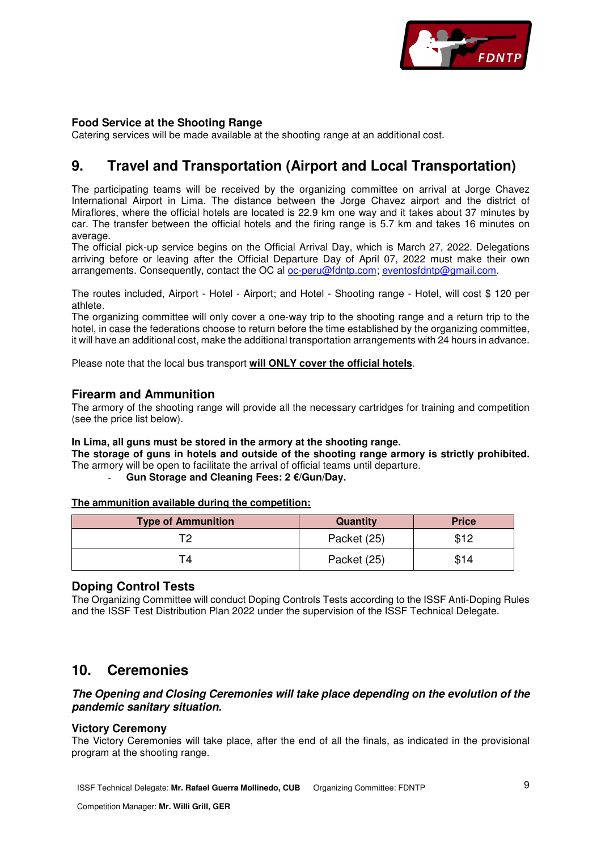

### **Food Service at the Shooting Range**

Catering services will be made available at the shooting range at an additional cost.

## **9. Travel and Transportation (Airport and Local Transportation)**

The participating teams will be received by the organizing committee on arrival at Jorge Chavez International Airport in Lima. The distance between the Jorge Chavez airport and the district of Miraflores, where the official hotels are located is 22.9 km one way and it takes about 37 minutes by car. The transfer between the official hotels and the firing range is 5.7 km and takes 16 minutes on average

The official pick-up service begins on the Official Arrival Day, which is March 27, 2022. Delegations arriving before or leaving after the Official Departure Day of April 07, 2022 must make their own arrangements. Consequently, contact the OC al oc-peru@fdntp.com; eventosfdntp@gmail.com.

The routes included, Airport - Hotel - Airport; and Hotel - Shooting range - Hotel, will cost \$ 120 per athlete.

The organizing committee will only cover a one-way trip to the shooting range and a return trip to the hotel, in case the federations choose to return before the time established by the organizing committee, it will have an additional cost, make the additional transportation arrangements with 24 hours in advance.

Please note that the local bus transport **will ONLY cover the official hotels**.

#### **Firearm and Ammunition**

The armory of the shooting range will provide all the necessary cartridges for training and competition (see the price list below).

#### **In Lima, all guns must be stored in the armory at the shooting range.**

**The storage of guns in hotels and outside of the shooting range armory is strictly prohibited.** The armory will be open to facilitate the arrival of official teams until departure.

- **Gun Storage and Cleaning Fees: 2 €/Gun/Day.** 

**The ammunition available during the competition:** 

| <b>Type of Ammunition</b> | Quantity    | <b>Price</b> |
|---------------------------|-------------|--------------|
|                           | Packet (25) | \$12         |
|                           | Packet (25) | \$14         |

#### **Doping Control Tests**

The Organizing Committee will conduct Doping Controls Tests according to the ISSF Anti-Doping Rules and the ISSF Test Distribution Plan 2022 under the supervision of the ISSF Technical Delegate.

### **10. Ceremonies**

### **The Opening and Closing Ceremonies will take place depending on the evolution of the pandemic sanitary situation.**

### **Victory Ceremony**

The Victory Ceremonies will take place, after the end of all the finals, as indicated in the provisional program at the shooting range.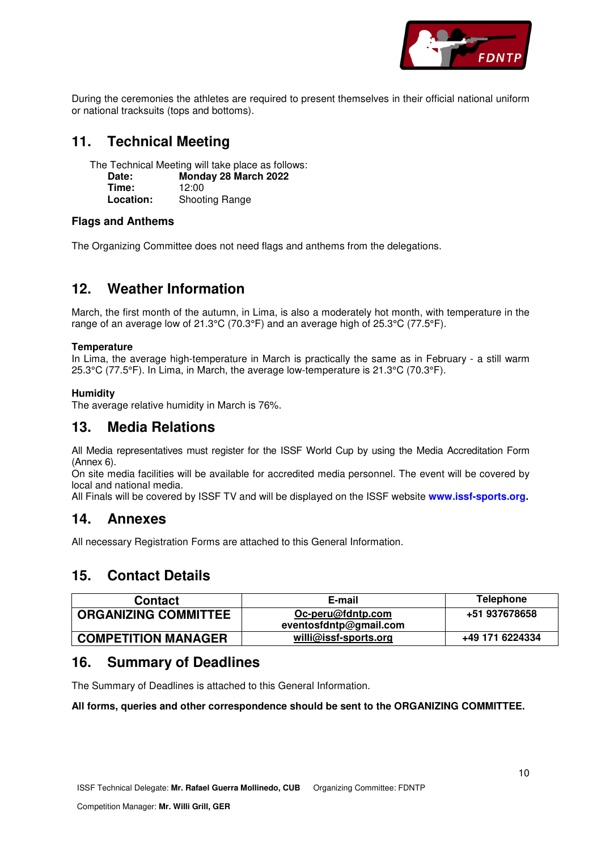

During the ceremonies the athletes are required to present themselves in their official national uniform or national tracksuits (tops and bottoms).

## **11. Technical Meeting**

The Technical Meeting will take place as follows:

| Date:     | Monday 28 March 2022  |
|-----------|-----------------------|
| Time:     | 12:00                 |
| Location: | <b>Shooting Range</b> |

### **Flags and Anthems**

The Organizing Committee does not need flags and anthems from the delegations.

## **12. Weather Information**

March, the first month of the autumn, in Lima, is also a moderately hot month, with temperature in the range of an average low of 21.3°C (70.3°F) and an average high of 25.3°C (77.5°F).

### **Temperature**

In Lima, the average high-temperature in March is practically the same as in February - a still warm 25.3°C (77.5°F). In Lima, in March, the average low-temperature is 21.3°C (70.3°F).

### **Humidity**

The average relative humidity in March is 76%.

### **13. Media Relations**

All Media representatives must register for the ISSF World Cup by using the Media Accreditation Form (Annex 6).

On site media facilities will be available for accredited media personnel. The event will be covered by local and national media.

All Finals will be covered by ISSF TV and will be displayed on the ISSF website **www.issf-sports.org.**

### **14. Annexes**

All necessary Registration Forms are attached to this General Information.

## **15. Contact Details**

| <b>Contact</b>              | E-mail                       | <b>Telephone</b> |  |  |
|-----------------------------|------------------------------|------------------|--|--|
| <b>ORGANIZING COMMITTEE</b> | Oc-peru@fdntp.com            | +51 937678658    |  |  |
|                             | eventosfdntp@gmail.com       |                  |  |  |
| <b>COMPETITION MANAGER</b>  | <u>willi@issf-sports.org</u> | +49 171 6224334  |  |  |

## **16. Summary of Deadlines**

The Summary of Deadlines is attached to this General Information.

#### **All forms, queries and other correspondence should be sent to the ORGANIZING COMMITTEE.**